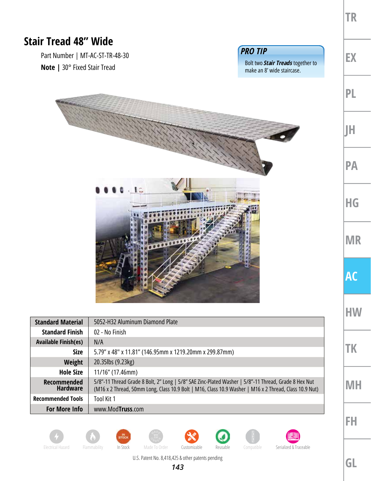|                                                                        |                                                                                                                                                                                                                |                                                                                          | <b>TR</b> |
|------------------------------------------------------------------------|----------------------------------------------------------------------------------------------------------------------------------------------------------------------------------------------------------------|------------------------------------------------------------------------------------------|-----------|
| <b>Stair Tread 48" Wide</b>                                            |                                                                                                                                                                                                                |                                                                                          |           |
| Part Number   MT-AC-ST-TR-48-30<br><b>Note</b>   30° Fixed Stair Tread |                                                                                                                                                                                                                | <b>PRO TIP</b><br>Bolt two <b>Stair Treads</b> together to<br>make an 8' wide staircase. | EX        |
|                                                                        |                                                                                                                                                                                                                |                                                                                          | PL        |
|                                                                        |                                                                                                                                                                                                                |                                                                                          | IΗ        |
|                                                                        |                                                                                                                                                                                                                |                                                                                          | <b>PA</b> |
| $1 -$<br>                                                              |                                                                                                                                                                                                                |                                                                                          | <b>HG</b> |
|                                                                        |                                                                                                                                                                                                                |                                                                                          | <b>MR</b> |
|                                                                        |                                                                                                                                                                                                                |                                                                                          | <b>AC</b> |
| <b>Standard Material</b>                                               | 5052-H32 Aluminum Diamond Plate                                                                                                                                                                                |                                                                                          | НW        |
| <b>Standard Finish</b>                                                 | 02 - No Finish                                                                                                                                                                                                 |                                                                                          |           |
| <b>Available Finish(es)</b>                                            | N/A                                                                                                                                                                                                            |                                                                                          |           |
| <b>Size</b>                                                            | 5.79" x 48" x 11.81" (146.95mm x 1219.20mm x 299.87mm)                                                                                                                                                         |                                                                                          | TΚ        |
| Weight                                                                 | 20.35lbs (9.23kg)                                                                                                                                                                                              |                                                                                          |           |
| <b>Hole Size</b>                                                       | 11/16" (17.46mm)                                                                                                                                                                                               |                                                                                          |           |
| Recommended<br>Hardware                                                | 5/8"-11 Thread Grade 8 Bolt, 2" Long   5/8" SAE Zinc-Plated Washer   5/8"-11 Thread, Grade 8 Hex Nut<br>(M16 x 2 Thread, 50mm Long, Class 10.9 Bolt   M16, Class 10.9 Washer   M16 x 2 Thread, Class 10.9 Nut) |                                                                                          | MH        |
| <b>Recommended Tools</b>                                               | Tool Kit 1                                                                                                                                                                                                     |                                                                                          |           |
| <b>For More Info</b>                                                   | www.ModTruss.com                                                                                                                                                                                               |                                                                                          |           |
|                                                                        |                                                                                                                                                                                                                |                                                                                          | FH        |

Electrical Hazard Flammability In Stock Made To Order Customizable Reusable Compatible Serialized & Traceable













U.S. Patent No. 8,418,425 & other patents pending

**GL**